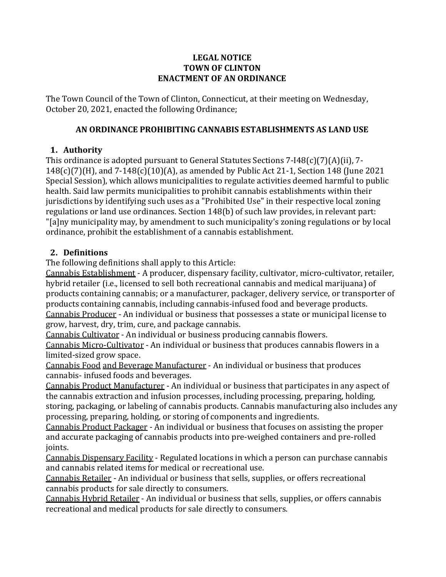#### **LEGAL NOTICE TOWN OF CLINTON ENACTMENT OF AN ORDINANCE**

The Town Council of the Town of Clinton, Connecticut, at their meeting on Wednesday, October 20, 2021, enacted the following Ordinance;

#### **AN ORDINANCE PROHIBITING CANNABIS ESTABLISHMENTS AS LAND USE**

# **1. Authority**

This ordinance is adopted pursuant to General Statutes Sections 7-I48(c)(7)(A)(ii), 7- 148(c)(7)(H), and 7-148(c)(10)(A), as amended by Public Act 21-1, Section 148 (June 2021 Special Session), which allows municipalities to regulate activities deemed harmful to public health. Said law permits municipalities to prohibit cannabis establishments within their jurisdictions by identifying such uses as a "Prohibited Use" in their respective local zoning regulations or land use ordinances. Section 148(b) of such law provides, in relevant part: "[a]ny municipality may, by amendment to such municipality's zoning regulations or by local ordinance, prohibit the establishment of a cannabis establishment.

#### **2. Definitions**

The following definitions shall apply to this Article:

Cannabis Establishment - A producer, dispensary facility, cultivator, micro-cultivator, retailer, hybrid retailer (i.e., licensed to sell both recreational cannabis and medical marijuana) of products containing cannabis; or a manufacturer, packager, delivery service, or transporter of products containing cannabis, including cannabis-infused food and beverage products. Cannabis Producer - An individual or business that possesses a state or municipal license to grow, harvest, dry, trim, cure, and package cannabis.

Cannabis Cultivator - An individual or business producing cannabis flowers. Cannabis Micro-Cultivator - An individual or business that produces cannabis flowers in a limited-sized grow space.

Cannabis Food and Beverage Manufacturer - An individual or business that produces cannabis- infused foods and beverages.

Cannabis Product Manufacturer - An individual or business that participates in any aspect of the cannabis extraction and infusion processes, including processing, preparing, holding, storing, packaging, or labeling of cannabis products. Cannabis manufacturing also includes any processing, preparing, holding, or storing of components and ingredients.

Cannabis Product Packager - An individual or business that focuses on assisting the proper and accurate packaging of cannabis products into pre-weighed containers and pre-rolled joints.

Cannabis Dispensary Facility - Regulated locations in which a person can purchase cannabis and cannabis related items for medical or recreational use.

Cannabis Retailer - An individual or business that sells, supplies, or offers recreational cannabis products for sale directly to consumers.

Cannabis Hybrid Retailer - An individual or business that sells, supplies, or offers cannabis recreational and medical products for sale directly to consumers.